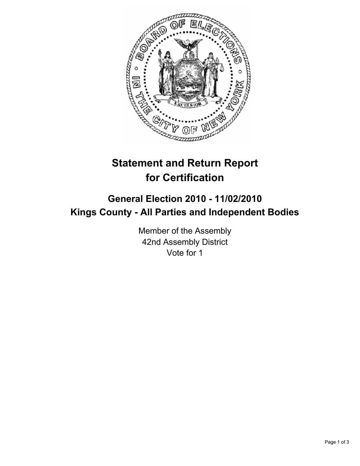

## **Statement and Return Report for Certification**

## **General Election 2010 - 11/02/2010 Kings County - All Parties and Independent Bodies**

Member of the Assembly 42nd Assembly District Vote for 1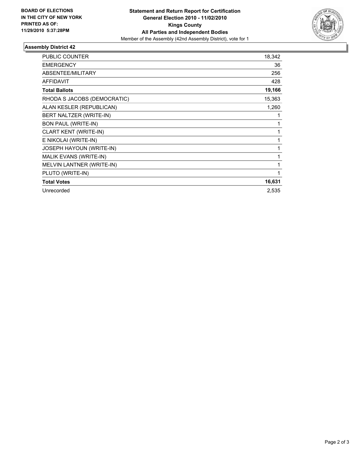

## **Assembly District 42**

| <b>PUBLIC COUNTER</b>       | 18,342 |
|-----------------------------|--------|
| <b>EMERGENCY</b>            | 36     |
| ABSENTEE/MILITARY           | 256    |
| <b>AFFIDAVIT</b>            | 428    |
| <b>Total Ballots</b>        | 19,166 |
| RHODA S JACOBS (DEMOCRATIC) | 15,363 |
| ALAN KESLER (REPUBLICAN)    | 1,260  |
| BERT NALTZER (WRITE-IN)     | 1      |
| <b>BON PAUL (WRITE-IN)</b>  | 1      |
| CLART KENT (WRITE-IN)       | 1      |
| E NIKOLAI (WRITE-IN)        | 1      |
| JOSEPH HAYOUN (WRITE-IN)    | 1      |
| MALIK EVANS (WRITE-IN)      | 1      |
| MELVIN LANTNER (WRITE-IN)   | 1      |
| PLUTO (WRITE-IN)            | 1      |
| <b>Total Votes</b>          | 16,631 |
| Unrecorded                  | 2,535  |